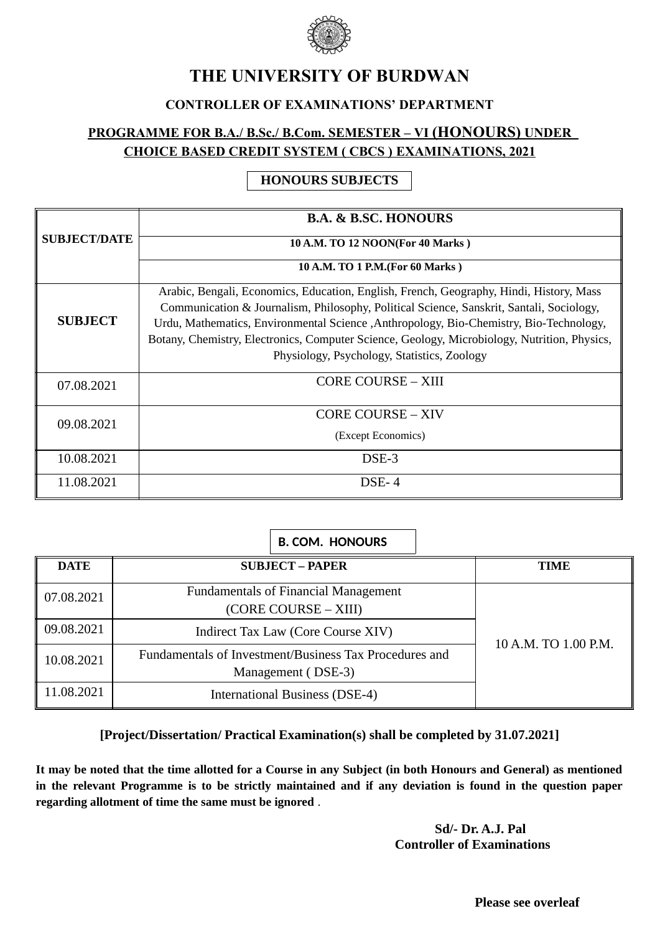

# **THE UNIVERSITY OF BURDWAN**

### **CONTROLLER OF EXAMINATIONS' DEPARTMENT**

## **PROGRAMME FOR B.A./ B.Sc./ B.Com. SEMESTER – VI (HONOURS) UNDER CHOICE BASED CREDIT SYSTEM ( CBCS ) EXAMINATIONS, 2021**

### **HONOURS SUBJECTS**

|                     | <b>B.A. &amp; B.SC. HONOURS</b>                                                                                                                                                                                                                                                                                                                                                                                               |  |
|---------------------|-------------------------------------------------------------------------------------------------------------------------------------------------------------------------------------------------------------------------------------------------------------------------------------------------------------------------------------------------------------------------------------------------------------------------------|--|
| <b>SUBJECT/DATE</b> | 10 A.M. TO 12 NOON(For 40 Marks)                                                                                                                                                                                                                                                                                                                                                                                              |  |
|                     | 10 A.M. TO 1 P.M. (For 60 Marks)                                                                                                                                                                                                                                                                                                                                                                                              |  |
| <b>SUBJECT</b>      | Arabic, Bengali, Economics, Education, English, French, Geography, Hindi, History, Mass<br>Communication & Journalism, Philosophy, Political Science, Sanskrit, Santali, Sociology,<br>Urdu, Mathematics, Environmental Science , Anthropology, Bio-Chemistry, Bio-Technology,<br>Botany, Chemistry, Electronics, Computer Science, Geology, Microbiology, Nutrition, Physics,<br>Physiology, Psychology, Statistics, Zoology |  |
| 07.08.2021          | <b>CORE COURSE - XIII</b>                                                                                                                                                                                                                                                                                                                                                                                                     |  |
| 09.08.2021          | <b>CORE COURSE – XIV</b><br>(Except Economics)                                                                                                                                                                                                                                                                                                                                                                                |  |
| 10.08.2021          | DSE-3                                                                                                                                                                                                                                                                                                                                                                                                                         |  |
| 11.08.2021          | $DSE-4$                                                                                                                                                                                                                                                                                                                                                                                                                       |  |

|             | <b>B. COM. HONOURS</b>                                                       |                      |
|-------------|------------------------------------------------------------------------------|----------------------|
| <b>DATE</b> | <b>SUBJECT – PAPER</b>                                                       | <b>TIME</b>          |
| 07.08.2021  | <b>Fundamentals of Financial Management</b><br>(CORE COURSE – XIII)          |                      |
| 09.08.2021  | Indirect Tax Law (Core Course XIV)                                           |                      |
| 10.08.2021  | Fundamentals of Investment/Business Tax Procedures and<br>Management (DSE-3) | 10 A.M. TO 1.00 P.M. |
| 11.08.2021  | International Business (DSE-4)                                               |                      |

### **[Project/Dissertation/ Practical Examination(s) shall be completed by 31.07.2021]**

**It may be noted that the time allotted for a Course in any Subject (in both Honours and General) as mentioned in the relevant Programme is to be strictly maintained and if any deviation is found in the question paper regarding allotment of time the same must be ignored** .

> **Sd/- Dr. A.J. Pal Controller of Examinations**